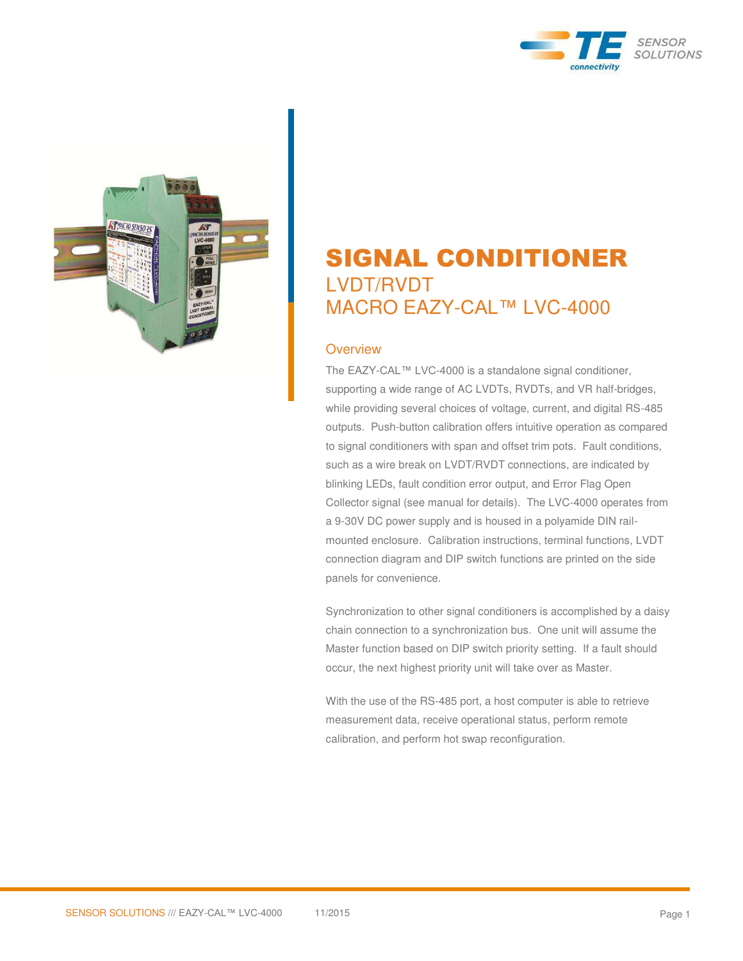



# SIGNAL CONDITIONER LVDT/RVDT MACRO EAZY-CAL™ LVC-4000

#### **Overview**

The EAZY-CAL™ LVC-4000 is a standalone signal conditioner, supporting a wide range of AC LVDTs, RVDTs, and VR half-bridges, while providing several choices of voltage, current, and digital RS-485 outputs. Push-button calibration offers intuitive operation as compared to signal conditioners with span and offset trim pots. Fault conditions, such as a wire break on LVDT/RVDT connections, are indicated by blinking LEDs, fault condition error output, and Error Flag Open Collector signal (see manual for details). The LVC-4000 operates from a 9-30V DC power supply and is housed in a polyamide DIN railmounted enclosure. Calibration instructions, terminal functions, LVDT connection diagram and DIP switch functions are printed on the side panels for convenience.

Synchronization to other signal conditioners is accomplished by a daisy chain connection to a synchronization bus. One unit will assume the Master function based on DIP switch priority setting. If a fault should occur, the next highest priority unit will take over as Master.

With the use of the RS-485 port, a host computer is able to retrieve measurement data, receive operational status, perform remote calibration, and perform hot swap reconfiguration.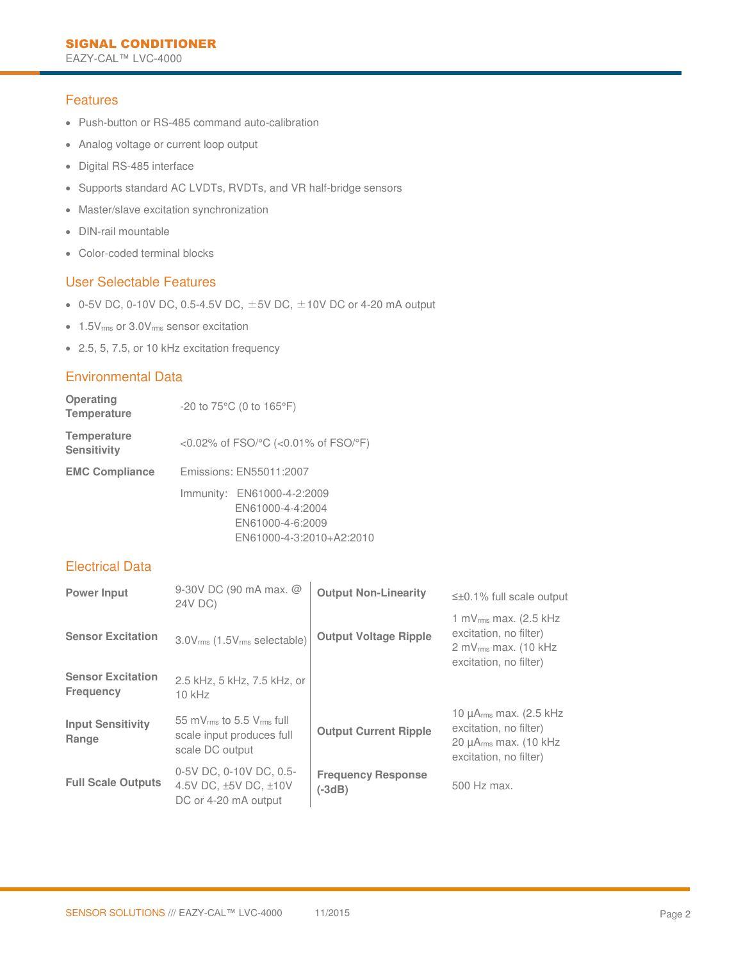### **Features**

- Push-button or RS-485 command auto-calibration
- Analog voltage or current loop output
- Digital RS-485 interface
- Supports standard AC LVDTs, RVDTs, and VR half-bridge sensors
- Master/slave excitation synchronization
- **DIN-rail mountable**
- Color-coded terminal blocks

### User Selectable Features

- 0-5V DC, 0-10V DC, 0.5-4.5V DC,  $\pm$ 5V DC,  $\pm$ 10V DC or 4-20 mA output
- 1.5Vrms or 3.0Vrms sensor excitation
- 2.5, 5, 7.5, or 10 kHz excitation frequency

#### Environmental Data

| Operating<br><b>Temperature</b>          | $-20$ to 75 $^{\circ}$ C (0 to 165 $^{\circ}$ F)                                               |  |  |
|------------------------------------------|------------------------------------------------------------------------------------------------|--|--|
| <b>Temperature</b><br><b>Sensitivity</b> | <0.02% of $FSO$ <sup>o</sup> C (<0.01% of $FSO$ <sup>o</sup> F)                                |  |  |
| <b>EMC Compliance</b>                    | Emissions: EN55011:2007                                                                        |  |  |
|                                          | Immunity: EN61000-4-2:2009<br>EN61000-4-4:2004<br>EN61000-4-6:2009<br>EN61000-4-3:2010+A2:2010 |  |  |

# Electrical Data

| <b>Power Input</b>                           | 9-30V DC (90 mA max. @<br>24V DC)                                                                 | <b>Output Non-Linearity</b>           | $\leq \pm 0.1\%$ full scale output                                                                                                     |
|----------------------------------------------|---------------------------------------------------------------------------------------------------|---------------------------------------|----------------------------------------------------------------------------------------------------------------------------------------|
| <b>Sensor Excitation</b>                     | 3.0V <sub>rms</sub> (1.5V <sub>rms</sub> selectable)                                              | <b>Output Voltage Ripple</b>          | 1 mV $_{rms}$ max. (2.5 kHz)<br>excitation, no filter)<br>$2$ mV $_{rms}$ max. (10 kHz<br>excitation, no filter)                       |
| <b>Sensor Excitation</b><br><b>Frequency</b> | 2.5 kHz, 5 kHz, 7.5 kHz, or<br>$10$ kHz                                                           |                                       |                                                                                                                                        |
| <b>Input Sensitivity</b><br>Range            | 55 mV <sub>rms</sub> to 5.5 V <sub>rms</sub> full<br>scale input produces full<br>scale DC output | <b>Output Current Ripple</b>          | 10 $\mu$ A <sub>rms</sub> max. (2.5 kHz)<br>excitation, no filter)<br>20 $\mu$ A <sub>rms</sub> max. (10 kHz<br>excitation, no filter) |
| <b>Full Scale Outputs</b>                    | 0-5V DC, 0-10V DC, 0.5-<br>4.5V DC, ±5V DC, ±10V<br>DC or 4-20 mA output                          | <b>Frequency Response</b><br>$(-3dB)$ | 500 Hz max.                                                                                                                            |